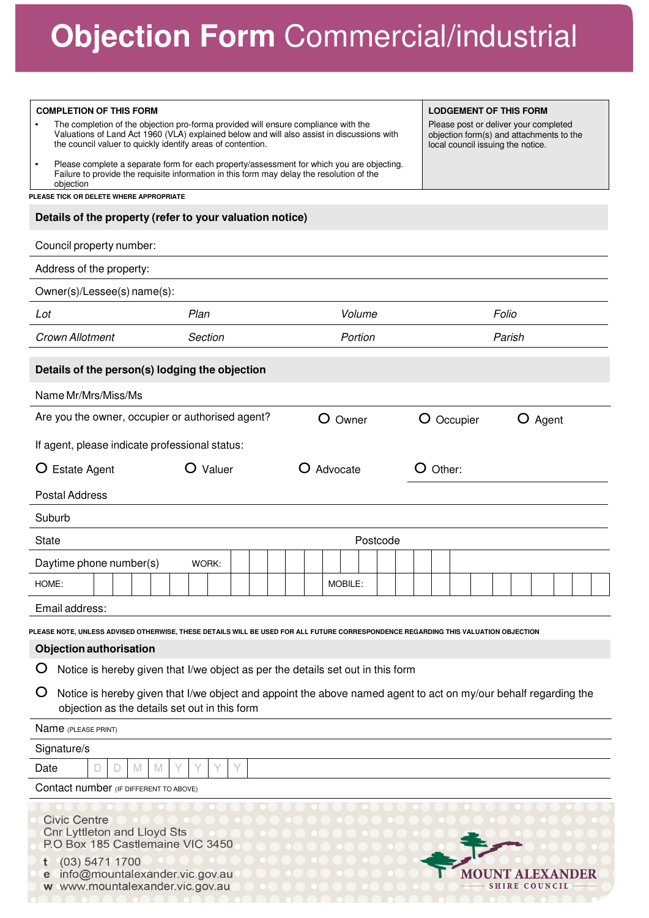# **Objection Form** Commercial/industrial

| <b>COMPLETION OF THIS FORM</b>                                                                                                                                                                                   |          |  |          |            | <b>LODGEMENT OF THIS FORM</b>                                                 |       |                      |         |  |
|------------------------------------------------------------------------------------------------------------------------------------------------------------------------------------------------------------------|----------|--|----------|------------|-------------------------------------------------------------------------------|-------|----------------------|---------|--|
| The completion of the objection pro-forma provided will ensure compliance with the                                                                                                                               |          |  |          |            | Please post or deliver your completed                                         |       |                      |         |  |
| Valuations of Land Act 1960 (VLA) explained below and will also assist in discussions with<br>the council valuer to quickly identify areas of contention.                                                        |          |  |          |            | objection form(s) and attachments to the<br>local council issuing the notice. |       |                      |         |  |
| Please complete a separate form for each property/assessment for which you are objecting.<br>$\bullet$<br>Failure to provide the requisite information in this form may delay the resolution of the<br>objection |          |  |          |            |                                                                               |       |                      |         |  |
| PLEASE TICK OR DELETE WHERE APPROPRIATE                                                                                                                                                                          |          |  |          |            |                                                                               |       |                      |         |  |
| Details of the property (refer to your valuation notice)                                                                                                                                                         |          |  |          |            |                                                                               |       |                      |         |  |
| Council property number:                                                                                                                                                                                         |          |  |          |            |                                                                               |       |                      |         |  |
| Address of the property:                                                                                                                                                                                         |          |  |          |            |                                                                               |       |                      |         |  |
| Owner(s)/Lessee(s) name(s):                                                                                                                                                                                      |          |  |          |            |                                                                               |       |                      |         |  |
| Plan<br>Lot                                                                                                                                                                                                      |          |  | Volume   |            |                                                                               | Folio |                      |         |  |
| Crown Allotment                                                                                                                                                                                                  | Section  |  | Portion  |            |                                                                               |       | Parish               |         |  |
| Details of the person(s) lodging the objection                                                                                                                                                                   |          |  |          |            |                                                                               |       |                      |         |  |
| Name Mr/Mrs/Miss/Ms                                                                                                                                                                                              |          |  |          |            |                                                                               |       |                      |         |  |
| Are you the owner, occupier or authorised agent?                                                                                                                                                                 |          |  | O Owner  | O Occupier |                                                                               |       |                      | O Agent |  |
|                                                                                                                                                                                                                  |          |  |          |            |                                                                               |       |                      |         |  |
| If agent, please indicate professional status:                                                                                                                                                                   |          |  |          |            |                                                                               |       |                      |         |  |
| <b>Estate Agent</b><br>Ő                                                                                                                                                                                         | O Valuer |  | Advocate | $O$ Other: |                                                                               |       |                      |         |  |
| <b>Postal Address</b>                                                                                                                                                                                            |          |  |          |            |                                                                               |       |                      |         |  |
| Suburb                                                                                                                                                                                                           |          |  |          |            |                                                                               |       |                      |         |  |
| <b>State</b>                                                                                                                                                                                                     |          |  | Postcode |            |                                                                               |       |                      |         |  |
| Daytime phone number(s)                                                                                                                                                                                          | WORK:    |  |          |            |                                                                               |       |                      |         |  |
| HOME:                                                                                                                                                                                                            |          |  | MOBILE:  |            |                                                                               |       |                      |         |  |
| Email address:                                                                                                                                                                                                   |          |  |          |            |                                                                               |       |                      |         |  |
| PLEASE NOTE, UNLESS ADVISED OTHERWISE, THESE DETAILS WILL BE USED FOR ALL FUTURE CORRESPONDENCE REGARDING THIS VALUATION OBJECTION                                                                               |          |  |          |            |                                                                               |       |                      |         |  |
| <b>Objection authorisation</b>                                                                                                                                                                                   |          |  |          |            |                                                                               |       |                      |         |  |
| Notice is hereby given that I/we object as per the details set out in this form<br>Ő                                                                                                                             |          |  |          |            |                                                                               |       |                      |         |  |
| Ő<br>Notice is hereby given that I/we object and appoint the above named agent to act on my/our behalf regarding the<br>objection as the details set out in this form                                            |          |  |          |            |                                                                               |       |                      |         |  |
| Name (PLEASE PRINT)                                                                                                                                                                                              |          |  |          |            |                                                                               |       |                      |         |  |
| Signature/s                                                                                                                                                                                                      |          |  |          |            |                                                                               |       |                      |         |  |
| D<br>Date<br>D<br>M<br>M                                                                                                                                                                                         | Υ<br>Y   |  |          |            |                                                                               |       |                      |         |  |
| Contact number (IF DIFFERENT TO ABOVE)                                                                                                                                                                           |          |  |          |            |                                                                               |       |                      |         |  |
| <b>Civic Centre</b><br><b>Cnr Lyttleton and Lloyd Sts</b><br>P.O Box 185 Castlemaine VIC 3450                                                                                                                    |          |  |          |            |                                                                               |       |                      |         |  |
| (03) 5471 1700                                                                                                                                                                                                   |          |  |          |            |                                                                               |       |                      |         |  |
| info@mountalexander.vic.gov.au<br>www.mountalexander.vic.gov.au<br>W                                                                                                                                             |          |  |          |            |                                                                               |       | <b>SHIRE COUNCIL</b> |         |  |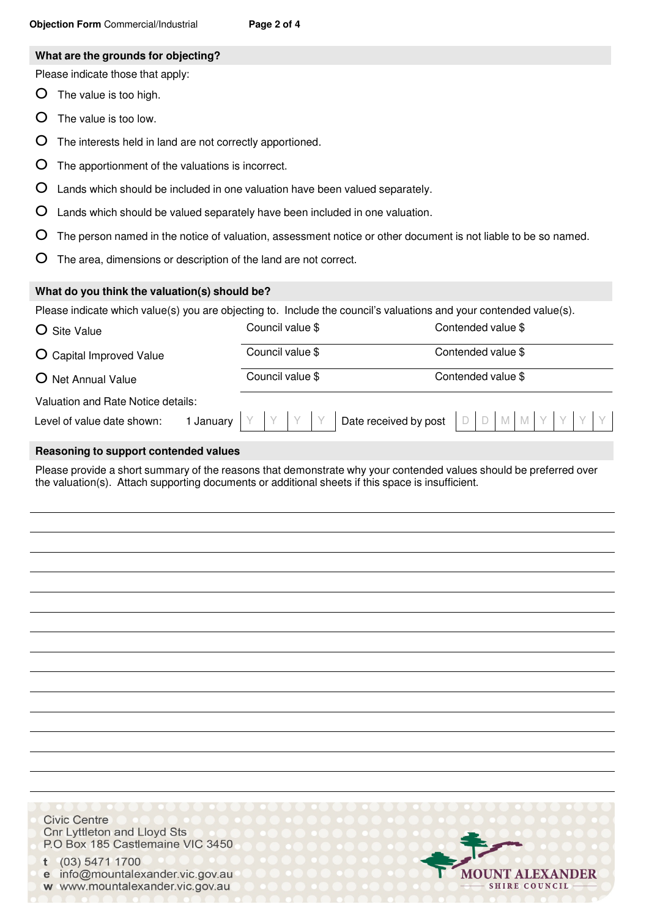#### **What are the grounds for objecting?**

Please indicate those that apply:

- O The value is too high.
- O The value is too low.
- O The interests held in land are not correctly apportioned.
- O The apportionment of the valuations is incorrect.
- O Lands which should be included in one valuation have been valued separately.
- O Lands which should be valued separately have been included in one valuation.
- O The person named in the notice of valuation, assessment notice or other document is not liable to be so named.
- O The area, dimensions or description of the land are not correct.

### **What do you think the valuation(s) should be?**

Please indicate which value(s) you are objecting to. Include the council's valuations and your contended value(s).

| O Site Value                       | Council value \$ |                               | Contended value \$ |
|------------------------------------|------------------|-------------------------------|--------------------|
| O Capital Improved Value           | Council value \$ |                               | Contended value \$ |
| O Net Annual Value                 | Council value \$ |                               | Contended value \$ |
| Valuation and Rate Notice details: |                  |                               |                    |
| Level of value date shown:         | January          | Date received by post $\vert$ | D M M Y Y Y Y<br>D |

### **Reasoning to support contended values**

Please provide a short summary of the reasons that demonstrate why your contended values should be preferred over the valuation(s). Attach supporting documents or additional sheets if this space is insufficient.

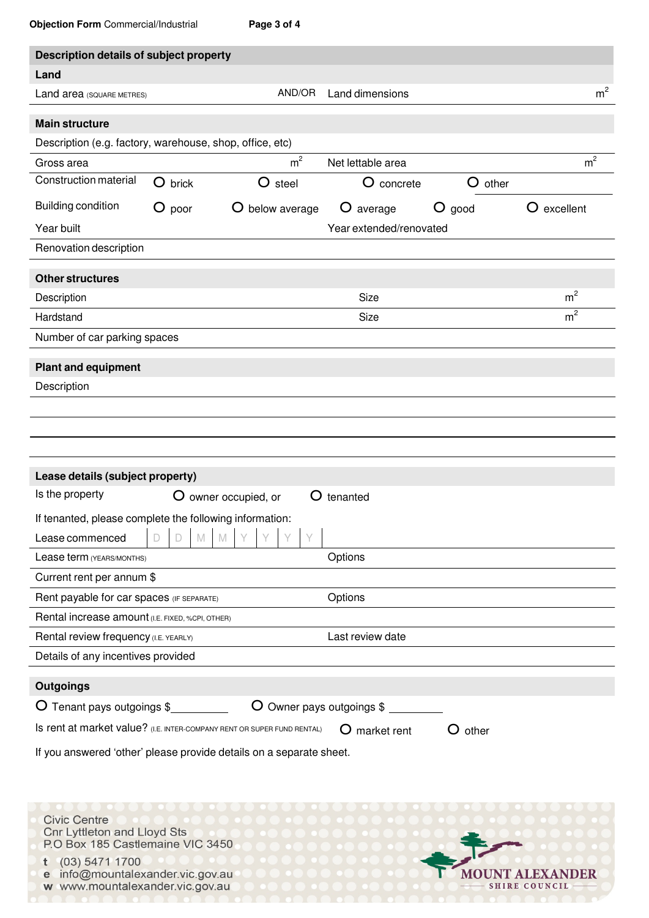|  | <b>Objection Form</b> Commercial/Industrial | Page 3 of 4 |
|--|---------------------------------------------|-------------|
|  |                                             |             |

| placement + Office Committed Clari in labourding                        |          |                           |                         |           |                |
|-------------------------------------------------------------------------|----------|---------------------------|-------------------------|-----------|----------------|
| Description details of subject property                                 |          |                           |                         |           |                |
| Land                                                                    |          |                           |                         |           |                |
| Land area (SQUARE METRES)                                               |          | AND/OR                    | Land dimensions         |           | m <sup>2</sup> |
| <b>Main structure</b>                                                   |          |                           |                         |           |                |
| Description (e.g. factory, warehouse, shop, office, etc)                |          |                           |                         |           |                |
| Gross area                                                              |          | m <sup>2</sup>            | Net lettable area       |           | m <sup>2</sup> |
| <b>Construction material</b>                                            | O brick  | O steel                   | O concrete              | O other   |                |
| <b>Building condition</b>                                               | $O$ poor | O below average           | O average               | $O$ good  | O excellent    |
| Year built                                                              |          |                           | Year extended/renovated |           |                |
| Renovation description                                                  |          |                           |                         |           |                |
| <b>Other structures</b>                                                 |          |                           |                         |           |                |
| Description                                                             |          |                           | Size                    |           | m <sup>2</sup> |
| Hardstand                                                               |          |                           | Size                    |           | m <sup>2</sup> |
| Number of car parking spaces                                            |          |                           |                         |           |                |
|                                                                         |          |                           |                         |           |                |
| <b>Plant and equipment</b><br>Description                               |          |                           |                         |           |                |
|                                                                         |          |                           |                         |           |                |
|                                                                         |          |                           |                         |           |                |
|                                                                         |          |                           |                         |           |                |
|                                                                         |          |                           |                         |           |                |
| Lease details (subject property)<br>Is the property                     |          |                           |                         |           |                |
|                                                                         |          | O owner occupied, or<br>Ő | tenanted                |           |                |
| If tenanted, please complete the following information:                 |          |                           |                         |           |                |
| Lease commenced                                                         | M<br>D   | M                         |                         |           |                |
| Lease term (YEARS/MONTHS)                                               |          |                           | Options                 |           |                |
| Current rent per annum \$                                               |          |                           |                         |           |                |
| Rent payable for car spaces (IF SEPARATE)                               |          |                           | Options                 |           |                |
| Rental increase amount (I.E. FIXED, %CPI, OTHER)                        |          |                           |                         |           |                |
| Rental review frequency (I.E. YEARLY)                                   |          |                           | Last review date        |           |                |
| Details of any incentives provided                                      |          |                           |                         |           |                |
| <b>Outgoings</b>                                                        |          |                           |                         |           |                |
| O Tenant pays outgoings \$                                              |          | O Owner pays outgoings \$ |                         |           |                |
| Is rent at market value? (I.E. INTER-COMPANY RENT OR SUPER FUND RENTAL) |          |                           | market rent             | $O$ other |                |
| If you answered 'other' please provide details on a separate sheet.     |          |                           |                         |           |                |
|                                                                         |          |                           |                         |           |                |
|                                                                         |          |                           |                         |           |                |
| <b>Civic Centre</b>                                                     |          |                           |                         |           |                |
| <b>Cnr Lyttleton and Lloyd Sts</b><br>P.O Box 185 Castlemaine VIC 3450  |          |                           |                         |           |                |

MOUNT ALEXANDER

- SHIRE COUNCIL-

Π

 $t$  (03) 5471 1700

e info@mountalexander.vic.gov.au w www.mountalexander.vic.gov.au